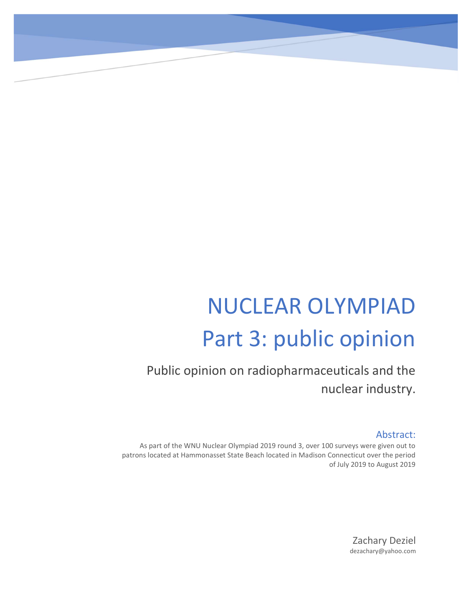# NUCLEAR OLYMPIAD Part 3: public opinion

Public opinion on radiopharmaceuticals and the nuclear industry.

### Abstract:

As part of the WNU Nuclear Olympiad 2019 round 3, over 100 surveys were given out to patrons located at Hammonasset State Beach located in Madison Connecticut over the period of July 2019 to August 2019

> Zachary Deziel dezachary@yahoo.com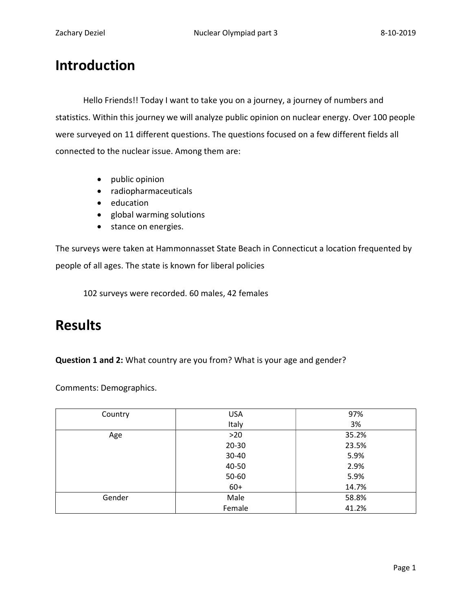# Introduction

Hello Friends!! Today I want to take you on a journey, a journey of numbers and statistics. Within this journey we will analyze public opinion on nuclear energy. Over 100 people were surveyed on 11 different questions. The questions focused on a few different fields all connected to the nuclear issue. Among them are:

- public opinion
- radiopharmaceuticals
- education
- global warming solutions
- stance on energies.

The surveys were taken at Hammonnasset State Beach in Connecticut a location frequented by people of all ages. The state is known for liberal policies

102 surveys were recorded. 60 males, 42 females

## Results

Question 1 and 2: What country are you from? What is your age and gender?

Comments: Demographics.

| Country | <b>USA</b> | 97%   |
|---------|------------|-------|
|         | Italy      | 3%    |
| Age     | $>20$      | 35.2% |
|         | $20 - 30$  | 23.5% |
|         | 30-40      | 5.9%  |
|         | 40-50      | 2.9%  |
|         | 50-60      | 5.9%  |
|         | $60+$      | 14.7% |
| Gender  | Male       | 58.8% |
|         | Female     | 41.2% |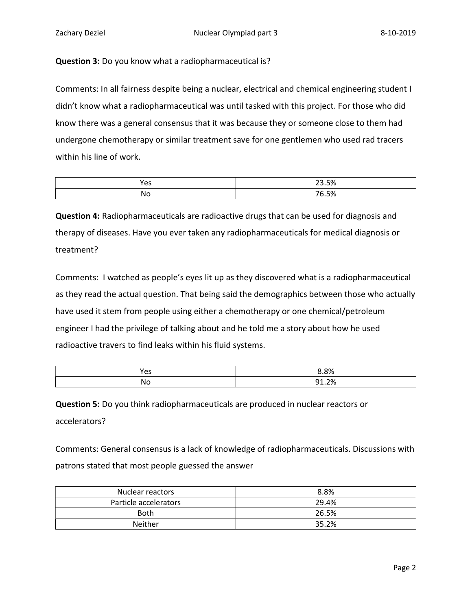#### Question 3: Do you know what a radiopharmaceutical is?

Comments: In all fairness despite being a nuclear, electrical and chemical engineering student I didn't know what a radiopharmaceutical was until tasked with this project. For those who did know there was a general consensus that it was because they or someone close to them had undergone chemotherapy or similar treatment save for one gentlemen who used rad tracers within his line of work.

| ∕ ص         | 23.5%                                   |
|-------------|-----------------------------------------|
| ັບ          | ں ر                                     |
| Nс<br>$  -$ | $7C$ $CO/$<br>-7.<br><b>1</b> L<br>____ |

Question 4: Radiopharmaceuticals are radioactive drugs that can be used for diagnosis and therapy of diseases. Have you ever taken any radiopharmaceuticals for medical diagnosis or treatment?

Comments: I watched as people's eyes lit up as they discovered what is a radiopharmaceutical as they read the actual question. That being said the demographics between those who actually have used it stem from people using either a chemotherapy or one chemical/petroleum engineer I had the privilege of talking about and he told me a story about how he used radioactive travers to find leaks within his fluid systems.

| Yes | 8.8%                                      |
|-----|-------------------------------------------|
| No  | 2%<br>n1<br>. . <i>. .</i> 0<br>_ _ _ _ _ |

Question 5: Do you think radiopharmaceuticals are produced in nuclear reactors or accelerators?

Comments: General consensus is a lack of knowledge of radiopharmaceuticals. Discussions with patrons stated that most people guessed the answer

| Nuclear reactors      | 8.8%  |
|-----------------------|-------|
| Particle accelerators | 29.4% |
| <b>Both</b>           | 26.5% |
| <b>Neither</b>        | 35.2% |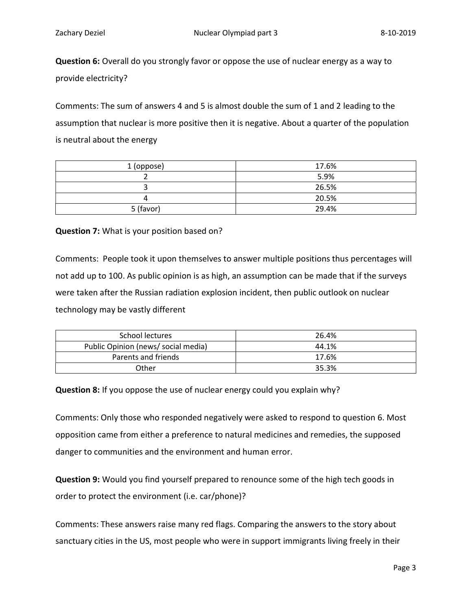Question 6: Overall do you strongly favor or oppose the use of nuclear energy as a way to provide electricity?

Comments: The sum of answers 4 and 5 is almost double the sum of 1 and 2 leading to the assumption that nuclear is more positive then it is negative. About a quarter of the population is neutral about the energy

| 1 (oppose) | 17.6% |
|------------|-------|
|            | 5.9%  |
|            | 26.5% |
| Δ          | 20.5% |
| 5 (favor)  | 29.4% |

Question 7: What is your position based on?

Comments: People took it upon themselves to answer multiple positions thus percentages will not add up to 100. As public opinion is as high, an assumption can be made that if the surveys were taken after the Russian radiation explosion incident, then public outlook on nuclear technology may be vastly different

| School lectures                     | 26.4% |
|-------------------------------------|-------|
| Public Opinion (news/ social media) | 44.1% |
| Parents and friends                 | 17.6% |
| Other                               | 35.3% |

Question 8: If you oppose the use of nuclear energy could you explain why?

Comments: Only those who responded negatively were asked to respond to question 6. Most opposition came from either a preference to natural medicines and remedies, the supposed danger to communities and the environment and human error.

Question 9: Would you find yourself prepared to renounce some of the high tech goods in order to protect the environment (i.e. car/phone)?

Comments: These answers raise many red flags. Comparing the answers to the story about sanctuary cities in the US, most people who were in support immigrants living freely in their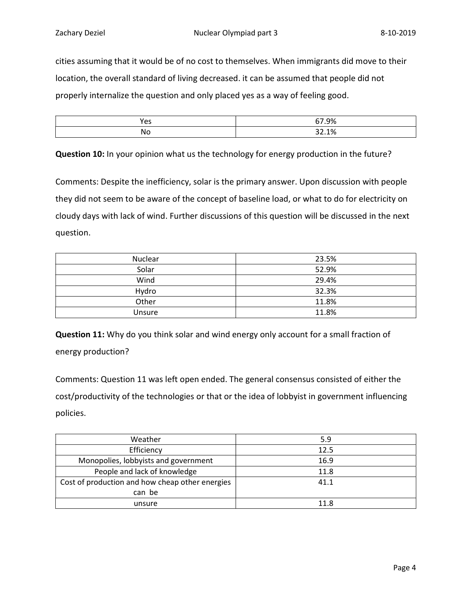cities assuming that it would be of no cost to themselves. When immigrants did move to their location, the overall standard of living decreased. it can be assumed that people did not properly internalize the question and only placed yes as a way of feeling good.

| Yes | 67.9% |
|-----|-------|
| No  | 32.1% |

Question 10: In your opinion what us the technology for energy production in the future?

Comments: Despite the inefficiency, solar is the primary answer. Upon discussion with people they did not seem to be aware of the concept of baseline load, or what to do for electricity on cloudy days with lack of wind. Further discussions of this question will be discussed in the next question.

| Nuclear | 23.5% |
|---------|-------|
| Solar   | 52.9% |
| Wind    | 29.4% |
| Hydro   | 32.3% |
| Other   | 11.8% |
| Unsure  | 11.8% |

Question 11: Why do you think solar and wind energy only account for a small fraction of energy production?

Comments: Question 11 was left open ended. The general consensus consisted of either the cost/productivity of the technologies or that or the idea of lobbyist in government influencing policies.

| Weather                                         | 5.9  |
|-------------------------------------------------|------|
| Efficiency                                      | 12.5 |
| Monopolies, lobbyists and government            | 16.9 |
| People and lack of knowledge                    | 11.8 |
| Cost of production and how cheap other energies | 41.1 |
| can be                                          |      |
| unsure                                          | 11.8 |